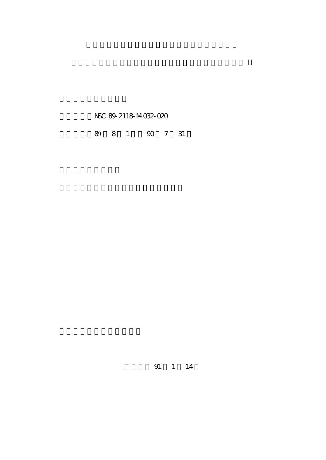NSC 89-2118-M032-020

89 8 1 90 7 31

91 1 14

計畫名稱:族群動態考慮遺傳與環境變異的統計問題探討 II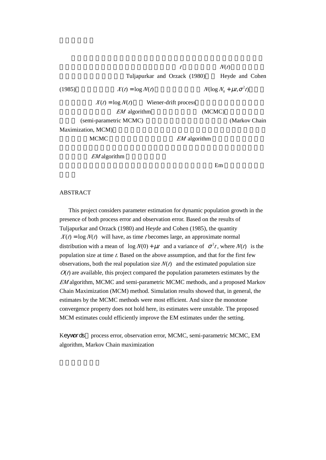$t$  and  $N(t)$ Tuljapurkar and Orzack (1980) Heyde and Cohen

(1985)  $X(t) = \log N(t)$   $N(\log N_0 + \sim t, t^2 t)$  $X(t) = \log N(t)$  Wiener-drift process  $EM$  algorithm (MCMC) (semi-parametric MCMC) (Markov Chain

Maximization, MCM)

MCMC **EM** algorithm

*EM* algorithm

 $Em$ 

## ABSTRACT

 This project considers parameter estimation for dynamic population growth in the presence of both process error and observation error. Based on the results of Tuljapurkar and Orzack (1980) and Heyde and Cohen (1985), the quantity  $X(t) = \log N(t)$  will have, as time *t* becomes large, an approximate normal distribution with a mean of  $\log N(0) + \sim t$  and a variance of  $t^2t$ , where  $N(t)$  is the population size at time *t*. Based on the above assumption, and that for the first few observations, both the real population size  $N(t)$  and the estimated population size  $O(t)$  are available, this project compared the population parameters estimates by the *EM* algorithm, MCMC and semi-parametric MCMC methods, and a proposed Markov Chain Maximization (MCM) method. Simulation results showed that, in general, the estimates by the MCMC methods were most efficient. And since the monotone convergence property does not hold here, its estimates were unstable. The proposed MCM estimates could efficiently improve the EM estimates under the setting.

Keywords process error, observation error, MCMC, semi-parametric MCMC, EM algorithm, Markov Chain maximization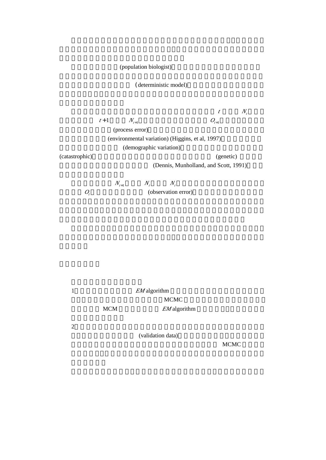(population biologist)

(deterministic model)

 $t \sim N_t$  $t+1$ ,  $N_{t+1}$ ,  $0$ <sub>t+1</sub>,  $t+1$ ,  $0$ <sub>t+1</sub>,  $t+1$ ,  $t+1$ ,  $t+1$ ,  $t+1$ ,  $t+1$ ,  $t+1$ ,  $t+1$ ,  $t+1$ ,  $t+1$ ,  $t+1$ ,  $t+1$ ,  $t+1$ ,  $t+1$ ,  $t+1$ ,  $t+1$ ,  $t+1$ ,  $t+1$ ,  $t+1$ ,  $t+1$ ,  $t+1$ ,  $t+1$ ,  $t+1$ ,  $t+1$ ,  $t+1$ ,  $t+1$ ,  $t$ (process error) (environmental variation) (Higgins, et al, 1997) (demographic variation) (catastrophic) (genetic)

(Dennis, Munholland, and Scott, 1991)

 $N_{t+1}$  *N<sub>t</sub> N<sub>t</sub> O<sub>t</sub>* (observation error)

1 **EM** algorithm  $MCMC$ MCM **EM** algorithm

 $2$ 

(validation data)

 $MCMC$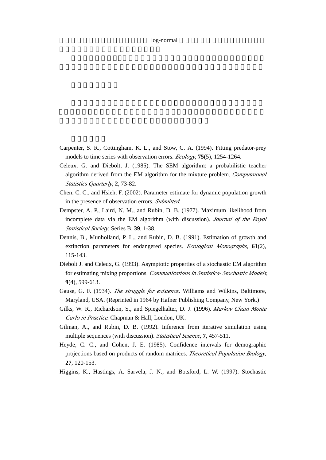## log-normal

- Carpenter, S. R., Cottingham, K. L., and Stow, C. A. (1994). Fitting predator-prey models to time series with observation errors. *Ecology*, **75**(5), 1254-1264.
- Celeux, G. and Diebolt, J. (1985). The SEM algorithm: a probabilistic teacher algorithm derived from the EM algorithm for the mixture problem. *Computaional Statistics Quarterly*, **2**, 73-82.
- Chen, C. C., and Hsieh, F. (2002). Parameter estimate for dynamic population growth in the presence of observation errors. *Submitted*.
- Dempster, A. P., Laird, N. M., and Rubin, D. B. (1977). Maximum likelihood from incomplete data via the EM algorithm (with discussion). *Journal of the Royal Statistical Society*, Series B, **39**, 1-38.
- Dennis, B., Munholland, P. L., and Rubin, D. B. (1991). Estimation of growth and extinction parameters for endangered species. *Ecological Monographs*, **61**(2), 115-143.
- Diebolt J. and Celeux, G. (1993). Asymptotic properties of a stochastic EM algorithm for estimating mixing proportions. *Communications in Statistics- Stochastic Models*, **9**(4), 599-613.
- Gause, G. F. (1934). *The struggle for existence*. Williams and Wilkins, Baltimore, Maryland, USA. (Reprinted in 1964 by Hafner Publishing Company, New York.)
- Gilks, W. R., Richardson, S., and Spiegelhalter, D. J. (1996). *Markov Chain Monte Carlo in Practice*. Chapman & Hall, London, UK.
- Gilman, A., and Rubin, D. B. (1992). Inference from iterative simulation using multiple sequences (with discussion). *Statistical Science*, **7**, 457-511.
- Heyde, C. C., and Cohen, J. E. (1985). Confidence intervals for demographic projections based on products of random matrices. *Theoretical Population Biology*, **27**, 120-153.
- Higgins, K., Hastings, A. Sarvela, J. N., and Botsford, L. W. (1997). Stochastic